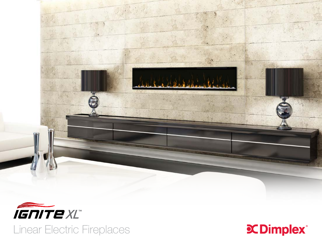



Linear Electric Fireplaces

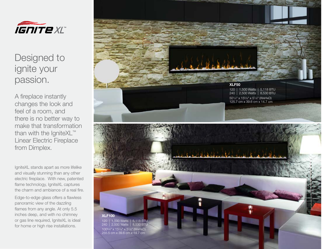

Designed to ignite your passion.

A fireplace instantly changes the look and feel of a room, and there is no better way to make that transformation than with the IgniteXL<sup>™</sup> Linear Electric Fireplace from Dimplex.

IgniteXL stands apart as more lifelike and visually stunning than any other electric fireplace. With new, patented flame technology, IgniteXL captures the charm and ambiance of a real fire.

Edge-to-edge glass offers a flawless panoramic view of the dazzling flames from any angle. At only 5.5 inches deep, and with no chimney or gas line required, IgniteXL is ideal for home or high rise installations.

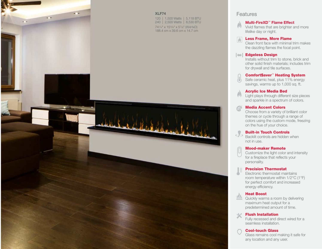

## Features

## Multi-FireXD™ Flame Effect

 $\left(\mathbf{r}\right)$ Vivid flames that are brighter and more lifelike day or night.

#### Less Frame, More Flame  $\sqrt{2}$

Clean front face with minimal trim makes the dazzling flames the focal point.

### **Edgeless Design**

Installs without trim to stone, brick and other solid finish materials; includes trim for drywall and tile surfaces.

#### Comfort\$aver™ Heating System

Safe ceramic heat, plus 11% energy savings, warms up to 1,000 sq. ft.

#### Acrylic Ice Media Bed

 $\left( \mathbf{a} \right)$ Light plays through different size pieces and sparkle in a spectrum of colors.

### Media Accent Colors

Choose from a variety of brilliant color themes or cycle through a range of colors using the custom mode, freezing on the hue of your choice.

### Built-in Touch Controls

Backlit controls are hidden when not in use.

#### Mood-maker Remote

Customize the light color and intensity for a fireplace that reflects your personality.

#### $|\equiv$ Precision Thermostat

Electronic thermostat maintains room temperature within 1/2°C (1°F) for perfect comfort and increased energy efficiency.

## Heat Boost

 $M_{\rm H}$ Quickly warms a room by delivering maximum heat output for a predetermined amount of time.

#### $\propto$ Flush Installation

Fully recessed and direct wired for a seamless installation.

#### Cool-touch Glass

Glass remains cool making it safe for any location and any user.